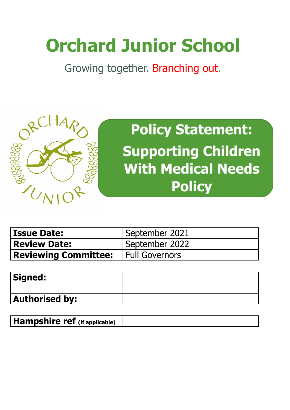# **Orchard Junior School**

Growing together. Branching out.



**Policy Statement: Supporting Children With Medical Needs Policy** 

| <b>Issue Date:</b>                           | September 2021 |
|----------------------------------------------|----------------|
| <b>Review Date:</b>                          | September 2022 |
| <b>Reviewing Committee:</b>   Full Governors |                |

| Signed:               |  |
|-----------------------|--|
| <b>Authorised by:</b> |  |

**Hampshire ref (if applicable)**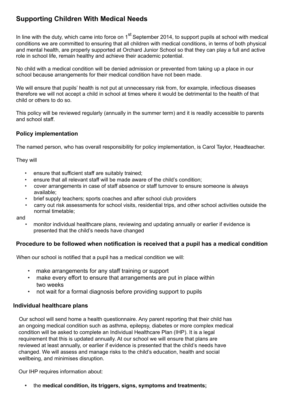## **Supporting Children With Medical Needs**

In line with the duty, which came into force on 1<sup>st</sup> September 2014, to support pupils at school with medical conditions we are committed to ensuring that all children with medical conditions, in terms of both physical and mental health, are properly supported at Orchard Junior School so that they can play a full and active role in school life, remain healthy and achieve their academic potential.

No child with a medical condition will be denied admission or prevented from taking up a place in our school because arrangements for their medical condition have not been made.

We will ensure that pupils' health is not put at unnecessary risk from, for example, infectious diseases therefore we will not accept a child in school at times where it would be detrimental to the health of that child or others to do so.

This policy will be reviewed regularly (annually in the summer term) and it is readily accessible to parents and school staff.

## **Policy implementation**

The named person, who has overall responsibility for policy implementation, is Carol Taylor, Headteacher.

They will

- ensure that sufficient staff are suitably trained;
- ensure that all relevant staff will be made aware of the child's condition;
- cover arrangements in case of staff absence or staff turnover to ensure someone is always available;
- brief supply teachers; sports coaches and after school club providers
- carry out risk assessments for school visits, residential trips, and other school activities outside the normal timetable;

and

• monitor individual healthcare plans, reviewing and updating annually or earlier if evidence is presented that the child's needs have changed

## **Procedure to be followed when notification is received that a pupil has a medical condition**

When our school is notified that a pupil has a medical condition we will:

- make arrangements for any staff training or support
- make every effort to ensure that arrangements are put in place within two weeks
- not wait for a formal diagnosis before providing support to pupils

## **Individual healthcare plans**

Our school will send home a health questionnaire. Any parent reporting that their child has an ongoing medical condition such as asthma, epilepsy, diabetes or more complex medical condition will be asked to complete an Individual Healthcare Plan (IHP). It is a legal requirement that this is updated annually. At our school we will ensure that plans are reviewed at least annually, or earlier if evidence is presented that the child's needs have changed. We will assess and manage risks to the child's education, health and social wellbeing, and minimises disruption.

Our IHP requires information about:

**•** the **medical condition, its triggers, signs, symptoms and treatments;**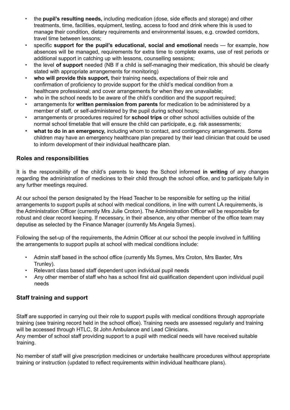- the **pupil's resulting needs,** including medication (dose, side effects and storage) and other treatments, time, facilities, equipment, testing, access to food and drink where this is used to manage their condition, dietary requirements and environmental issues, e.g. crowded corridors, travel time between lessons;
- specific **support for the pupil's educational, social and emotional** needs for example, how absences will be managed, requirements for extra time to complete exams, use of rest periods or additional support in catching up with lessons, counselling sessions;
- the level **of support** needed (NB If a child is self-managing their medication, this should be clearly stated with appropriate arrangements for monitoring)
- **who will provide this support,** their training needs, expectations of their role and confirmation of proficiency to provide support for the child's medical condition from a healthcare professional; and cover arrangements for when they are unavailable;
- who in the school needs to be aware of the child's condition and the support required;
- arrangements for **written permission from parents** for medication to be administered by a member of staff, or self-administered by the pupil during school hours;
- arrangements or procedures required for **school trips** or other school activities outside of the normal school timetable that will ensure the child can participate, e.g. risk assessments;
- **what to do in an emergency,** including whom to contact, and contingency arrangements. Some children may have an emergency healthcare plan prepared by their lead clinician that could be used to inform development of their individual healthcare plan.

## **Roles and responsibilities**

It is the responsibility of the child's parents to keep the School informed **in writing** of any changes regarding the administration of medicines to their child through the school office, and to participate fully in any further meetings required.

At our school the person designated by the Head Teacher to be responsible for setting up the initial arrangements to support pupils at school with medical conditions, in line with current LA requirements, is the Administration Officer (currently Mrs Julie Croton). The Administration Officer will be responsible for robust and clear record keeping. If necessary, in their absence, any other member of the office team may deputise as selected by the Finance Manager (currently Ms Angela Symes).

Following the set-up of the requirements, the Admin Officer at our school the people involved in fulfilling the arrangements to support pupils at school with medical conditions include:

- Admin staff based in the school office (currently Ms Symes, Mrs Croton, Mrs Baxter, Mrs Trunley).
- Relevant class based staff dependent upon individual pupil needs
- Any other member of staff who has a school first aid qualification dependent upon individual pupil needs

## **Staff training and support**

Staff are supported in carrying out their role to support pupils with medical conditions through appropriate training (see training record held in the school office). Training needs are assessed regularly and training will be accessed through HTLC, St John Ambulance and Lead Clinicians.

Any member of school staff providing support to a pupil with medical needs will have received suitable training.

No member of staff will give prescription medicines or undertake healthcare procedures without appropriate training or instruction (updated to reflect requirements within individual healthcare plans).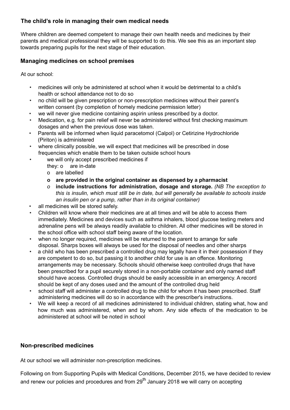## **The child's role in managing their own medical needs**

Where children are deemed competent to manage their own health needs and medicines by their parents and medical professional they will be supported to do this. We see this as an important step towards preparing pupils for the next stage of their education.

## **Managing medicines on school premises**

At our school:

- medicines will only be administered at school when it would be detrimental to a child's health or school attendance not to do so
- no child will be given prescription or non-prescription medicines without their parent's written consent (by completion of homely medicine permission letter)
- we will never give medicine containing aspirin unless prescribed by a doctor.
- Medication, e.g. for pain relief will never be administered without first checking maximum dosages and when the previous dose was taken.
- Parents will be informed when liquid paracetomol (Calpol) or Cetirizine Hydrochloride (Piriton) is administered
- where clinically possible, we will expect that medicines will be prescribed in dose frequencies which enable them to be taken outside school hours
- we will only accept prescribed medicines if
	- they: o are in-date
	- o are labelled
	- **o are provided in the original container as dispensed by a pharmacist**
	- *o* **include instructions for administration, dosage and storage.** *(NB The exception to this is insulin, which must still be in date, but will generally be available to schools inside an insulin pen or a pump, rather than in its original container)*
- all medicines will be stored safely.
- Children will know where their medicines are at all times and will be able to access them immediately. Medicines and devices such as asthma inhalers, blood glucose testing meters and adrenaline pens will be always readily available to children. All other medicines will be stored in the school office with school staff being aware of the location.
- when no longer required, medicines will be returned to the parent to arrange for safe disposal. Sharps boxes will always be used for the disposal of needles and other sharps
- a child who has been prescribed a controlled drug may legally have it in their possession if they are competent to do so, but passing it to another child for use is an offence. Monitoring arrangements may be necessary. Schools should otherwise keep controlled drugs that have been prescribed for a pupil securely stored in a non-portable container and only named staff should have access. Controlled drugs should be easily accessible in an emergency. A record should be kept of any doses used and the amount of the controlled drug held
- school staff will administer a controlled drug to the child for whom it has been prescribed. Staff administering medicines will do so in accordance with the prescriber's instructions.
- We will keep a record of all medicines administered to individual children, stating what, how and how much was administered, when and by whom. Any side effects of the medication to be administered at school will be noted in school

## **Non-prescribed medicines**

At our school we will administer non-prescription medicines.

Following on from Supporting Pupils with Medical Conditions, December 2015, we have decided to review and renew our policies and procedures and from 29<sup>th</sup> January 2018 we will carry on accepting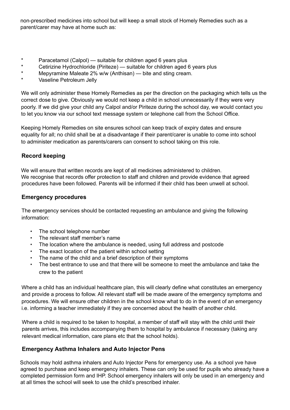non-prescribed medicines into school but will keep a small stock of Homely Remedies such as a parent/carer may have at home such as:

- \* Paracetamol (Calpol) suitable for children aged 6 years plus
- \* Cetirizine Hydrochloride (Piriteze) suitable for children aged 6 years plus
- \* Mepyramine Maleate 2% w/w (Anthisan) bite and sting cream.
- Vaseline Petroleum Jelly

We will only administer these Homely Remedies as per the direction on the packaging which tells us the correct dose to give. Obviously we would not keep a child in school unnecessarily if they were very poorly. If we did give your child any Calpol and/or Piriteze during the school day, we would contact you to let you know via our school text message system or telephone call from the School Office.

Keeping Homely Remedies on site ensures school can keep track of expiry dates and ensure equality for all; no child shall be at a disadvantage if their parent/carer is unable to come into school to administer medication as parents/carers can consent to school taking on this role.

## **Record keeping**

We will ensure that written records are kept of all medicines administered to children. We recognise that records offer protection to staff and children and provide evidence that agreed procedures have been followed. Parents will be informed if their child has been unwell at school.

## **Emergency procedures**

The emergency services should be contacted requesting an ambulance and giving the following information:

- The school telephone number
- The relevant staff member's name
- The location where the ambulance is needed, using full address and postcode
- The exact location of the patient within school setting
- The name of the child and a brief description of their symptoms
- The best entrance to use and that there will be someone to meet the ambulance and take the crew to the patient

Where a child has an individual healthcare plan, this will clearly define what constitutes an emergency and provide a process to follow. All relevant staff will be made aware of the emergency symptoms and procedures. We will ensure other children in the school know what to do in the event of an emergency i.e. informing a teacher immediately if they are concerned about the health of another child.

Where a child is required to be taken to hospital, a member of staff will stay with the child until their parents arrives, this includes accompanying them to hospital by ambulance if necessary (taking any relevant medical information, care plans etc that the school holds).

## **Emergency Asthma Inhalers and Auto Injector Pens**

Schools may hold asthma inhalers and Auto Injector Pens for emergency use. As a school yve have agreed to purchase and keep emergency inhalers. These can only be used for pupils who already have a completed permission form and IHP. School emergency inhalers will only be used in an emergency and at all times the school will seek to use the child's prescribed inhaler.